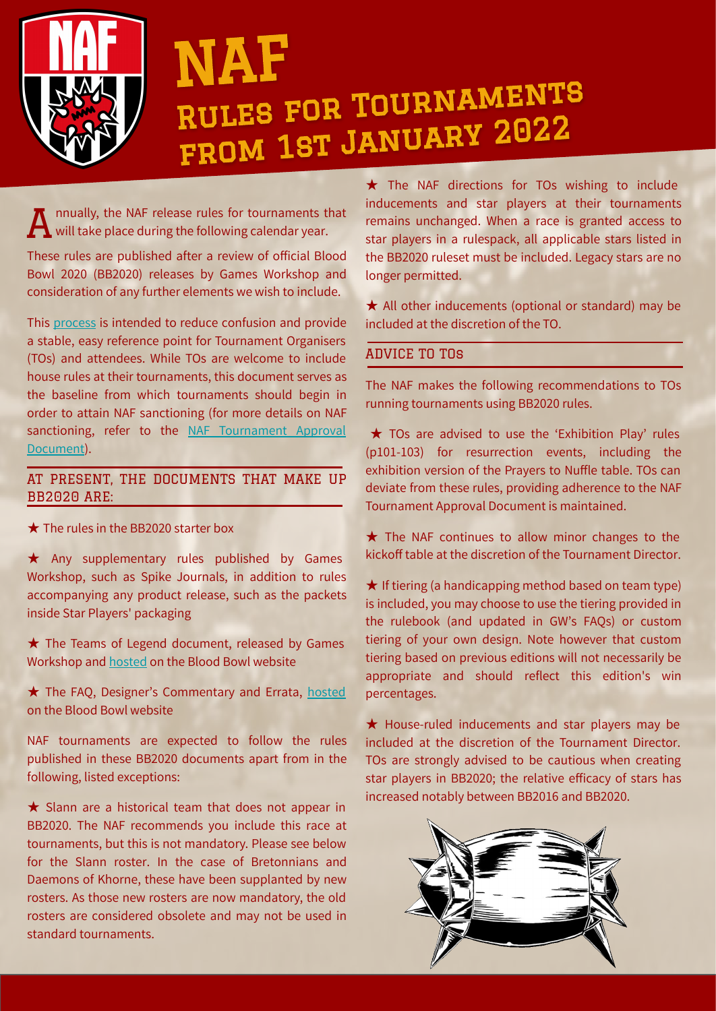

# NAF Rules for Tournaments from 1st January 2022

nnually, the NAF release rules for tournaments that will take place during the following calendar year. A

These rules are published after a review of official Blood Bowl 2020 (BB2020) releases by Games Workshop and consideration of any further elements we wish to include.

This [process](https://www.thenaf.net/tournaments/information/annual-review/) is intended to reduce confusion and provide a stable, easy reference point for Tournament Organisers (TOs) and attendees. While TOs are welcome to include house rules at their tournaments, this document serves as the baseline from which tournaments should begin in order to attain NAF sanctioning (for more details on NAF sanctioning, refer to the [NAF Tournament Approval](https://www.thenaf.net/wp-content/uploads/2020/11/NAF_Tournament_Approval_Document_2021.pdf) [Document](https://www.thenaf.net/wp-content/uploads/2020/11/NAF_Tournament_Approval_Document_2021.pdf)).

# AT PRESENT, THE DOCUMENTS THAT MAKE UP BB2020 ARE:

★ The rules in the BB2020 starter box

★ Any supplementary rules published by Games Workshop, such as Spike Journals, in addition to rules accompanying any product release, such as the packets inside Star Players' packaging

★ The Teams of Legend document, released by Games Workshop and [hosted](https://www.warhammer-community.com/wp-content/uploads/2020/11/lFZy1SIuNmWvxPj1.pdf) on the Blood Bowl website

★ The FAQ, Designer's Commentary and Errata, [hosted](https://www.warhammer-community.com/2020/12/08/discover-the-latest-rules-in-blood-bowls-new-faq/) on the Blood Bowl website

NAF tournaments are expected to follow the rules published in these BB2020 documents apart from in the following, listed exceptions:

★ Slann are a historical team that does not appear in BB2020. The NAF recommends you include this race at tournaments, but this is not mandatory. Please see below for the Slann roster. In the case of Bretonnians and Daemons of Khorne, these have been supplanted by new rosters. As those new rosters are now mandatory, the old rosters are considered obsolete and may not be used in standard tournaments.

★ The NAF directions for TOs wishing to include inducements and star players at their tournaments remains unchanged. When a race is granted access to star players in a rulespack, all applicable stars listed in the BB2020 ruleset must be included. Legacy stars are no longer permitted.

★ All other inducements (optional or standard) may be included at the discretion of the TO.

# ADVICE TO TOs

The NAF makes the following recommendations to TOs running tournaments using BB2020 rules.

★ TOs are advised to use the 'Exhibition Play' rules (p101-103) for resurrection events, including the exhibition version of the Prayers to Nuffle table. TOs can deviate from these rules, providing adherence to the NAF Tournament Approval Document is maintained.

★ The NAF continues to allow minor changes to the kickoff table at the discretion of the Tournament Director.

 $\star$  If tiering (a handicapping method based on team type) is included, you may choose to use the tiering provided in the rulebook (and updated in GW's FAQs) or custom tiering of your own design. Note however that custom tiering based on previous editions will not necessarily be appropriate and should reflect this edition's win percentages.

★ House-ruled inducements and star players may be included at the discretion of the Tournament Director. TOs are strongly advised to be cautious when creating star players in BB2020; the relative efficacy of stars has increased notably between BB2016 and BB2020.